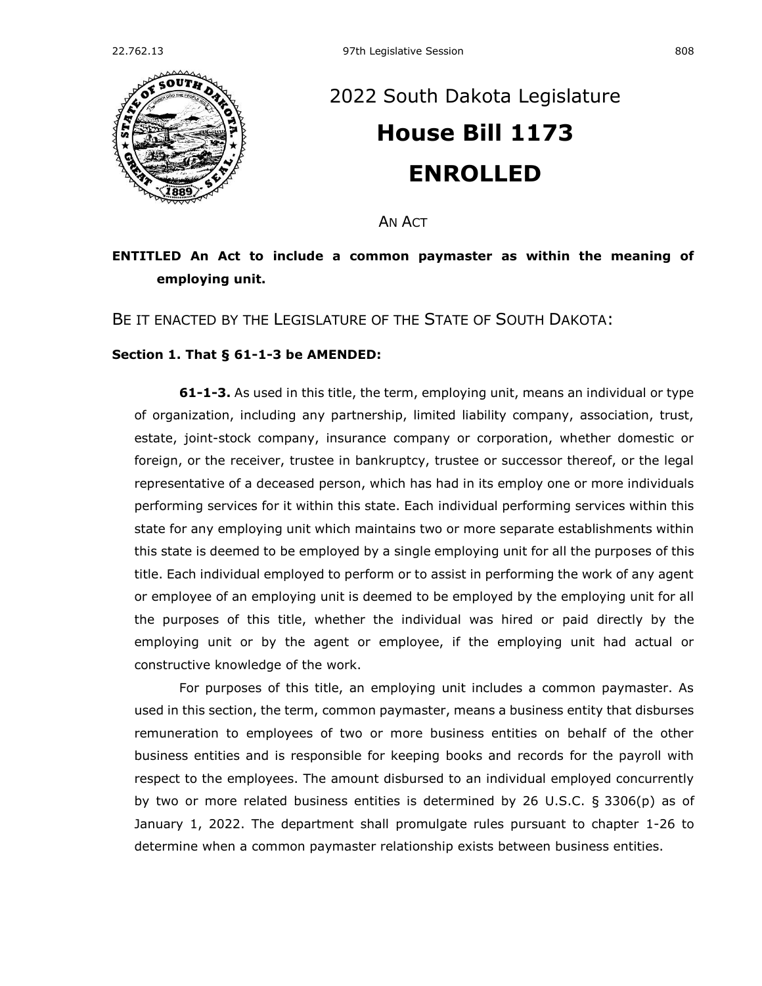

## [2022 South Dakota Legislature](https://sdlegislature.gov/Session/Bills/64) **[House Bill 1173](https://sdlegislature.gov/Session/Bill/23333) ENROLLED**

AN ACT

## **ENTITLED An Act to include a common paymaster as within the meaning of employing unit.**

BE IT ENACTED BY THE LEGISLATURE OF THE STATE OF SOUTH DAKOTA:

## **Section 1. [That § 61-1-3 be AMENDED:](https://sdlegislature.gov/Statutes?Statute=61-1-3)**

**[61-1-3.](https://sdlegislature.gov/Statutes/Codified_Laws/DisplayStatute.aspx?Type=Statute&Statute=61-1-3)** As used in this title, the term, employing unit, means an individual or type of organization, including any partnership, limited liability company, association, trust, estate, joint-stock company, insurance company or corporation, whether domestic or foreign, or the receiver, trustee in bankruptcy, trustee or successor thereof, or the legal representative of a deceased person, which has had in its employ one or more individuals performing services for it within this state. Each individual performing services within this state for any employing unit which maintains two or more separate establishments within this state is deemed to be employed by a single employing unit for all the purposes of this title. Each individual employed to perform or to assist in performing the work of any agent or employee of an employing unit is deemed to be employed by the employing unit for all the purposes of this title, whether the individual was hired or paid directly by the employing unit or by the agent or employee, if the employing unit had actual or constructive knowledge of the work.

For purposes of this title, an employing unit includes a common paymaster. As used in this section, the term, common paymaster, means a business entity that disburses remuneration to employees of two or more business entities on behalf of the other business entities and is responsible for keeping books and records for the payroll with respect to the employees. The amount disbursed to an individual employed concurrently by two or more related business entities is determined by 26 U.S.C. § 3306(p) as of January 1, 2022. The department shall promulgate rules pursuant to chapter [1-26](https://sdlegislature.gov/Statutes?Statute=1-26) to determine when a common paymaster relationship exists between business entities.